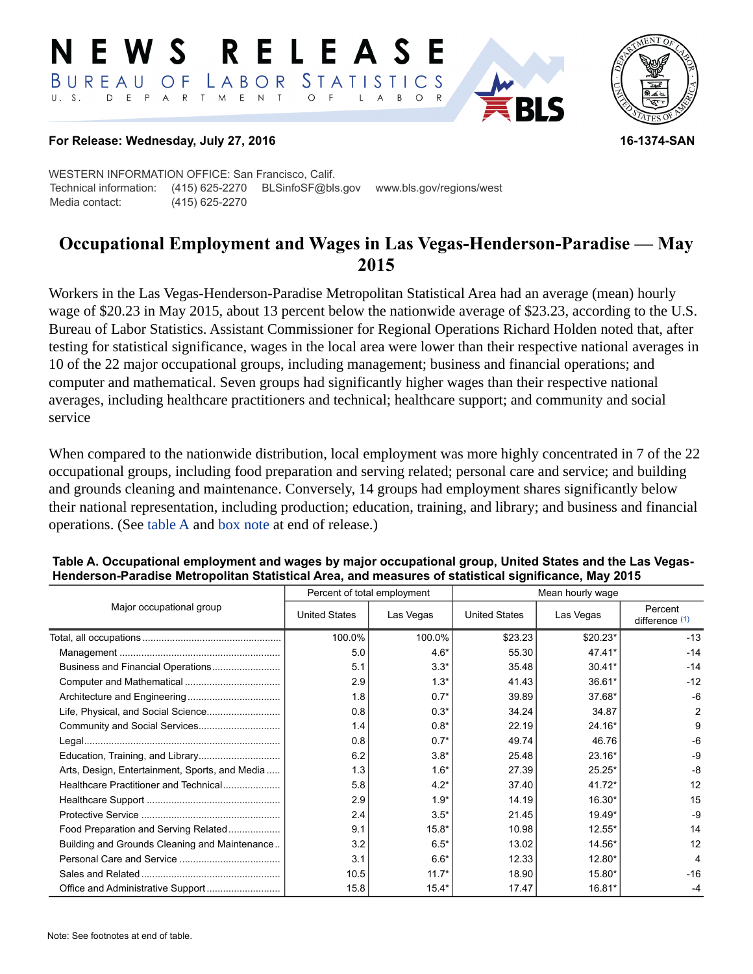#### RELEASE E W S LABOR STATISTICS BUREAU OF D E P A R T M E N T  $\circ$  $U. S.$  $F$  $\mathsf{L}$  $\overline{A}$  $B$  $\circ$



## **For Release: Wednesday, July 27, 2016 16-1374-SAN**

WESTERN INFORMATION OFFICE: San Francisco, Calif. Technical information: (415) 625-2270 BLSinfoSF@bls.gov www.bls.gov/regions/west Media contact: (415) 625-2270

# **Occupational Employment and Wages in Las Vegas-Henderson-Paradise — May 2015**

Workers in the Las Vegas-Henderson-Paradise Metropolitan Statistical Area had an average (mean) hourly wage of \$20.23 in May 2015, about 13 percent below the nationwide average of \$23.23, according to the U.S. Bureau of Labor Statistics. Assistant Commissioner for Regional Operations Richard Holden noted that, after testing for statistical significance, wages in the local area were lower than their respective national averages in 10 of the 22 major occupational groups, including management; business and financial operations; and computer and mathematical. Seven groups had significantly higher wages than their respective national averages, including healthcare practitioners and technical; healthcare support; and community and social service

When compared to the nationwide distribution, local employment was more highly concentrated in 7 of the 22 occupational groups, including food preparation and serving related; personal care and service; and building and grounds cleaning and maintenance. Conversely, 14 groups had employment shares significantly below their national representation, including production; education, training, and library; and business and financial operations. (See table A and [box note](#page-2-0) at end of release.)

|                                                |                      | Percent of total employment | Mean hourly wage     |           |                             |  |
|------------------------------------------------|----------------------|-----------------------------|----------------------|-----------|-----------------------------|--|
| Major occupational group                       | <b>United States</b> | Las Vegas                   | <b>United States</b> | Las Vegas | Percent<br>difference $(1)$ |  |
|                                                | 100.0%               | 100.0%                      | \$23.23              | $$20.23*$ | $-13$                       |  |
|                                                | 5.0                  | $4.6*$                      | 55.30                | $47.41*$  | $-14$                       |  |
|                                                | 5.1                  | $3.3*$                      | 35.48                | $30.41*$  | $-14$                       |  |
|                                                | 2.9                  | $1.3*$                      | 41.43                | 36.61*    | $-12$                       |  |
|                                                | 1.8                  | $0.7*$                      | 39.89                | 37.68*    | $-6$                        |  |
| Life, Physical, and Social Science             | 0.8                  | $0.3*$                      | 34.24                | 34.87     | $\overline{2}$              |  |
|                                                | 1.4                  | $0.8*$                      | 22.19                | 24.16*    | 9                           |  |
|                                                | 0.8                  | $0.7*$                      | 49.74                | 46.76     | -6                          |  |
|                                                | 6.2                  | $3.8*$                      | 25.48                | $23.16*$  | $-9$                        |  |
| Arts, Design, Entertainment, Sports, and Media | 1.3                  | $1.6*$                      | 27.39                | $25.25*$  | $-8$                        |  |
| Healthcare Practitioner and Technical          | 5.8                  | $4.2*$                      | 37.40                | $41.72*$  | 12                          |  |
|                                                | 2.9                  | $1.9*$                      | 14.19                | 16.30*    | 15                          |  |
|                                                | 2.4                  | $3.5*$                      | 21.45                | 19.49*    | $-9$                        |  |
| Food Preparation and Serving Related           | 9.1                  | $15.8*$                     | 10.98                | $12.55*$  | 14                          |  |
| Building and Grounds Cleaning and Maintenance  | 3.2                  | $6.5*$                      | 13.02                | 14.56*    | 12                          |  |
|                                                | 3.1                  | $6.6*$                      | 12.33                | 12.80*    | 4                           |  |
|                                                | 10.5                 | $11.7*$                     | 18.90                | 15.80*    | $-16$                       |  |
|                                                | 15.8                 | $15.4*$                     | 17.47                | 16.81*    | -4                          |  |

## **Table A. Occupational employment and wages by major occupational group, United States and the Las Vegas-Henderson-Paradise Metropolitan Statistical Area, and measures of statistical significance, May 2015**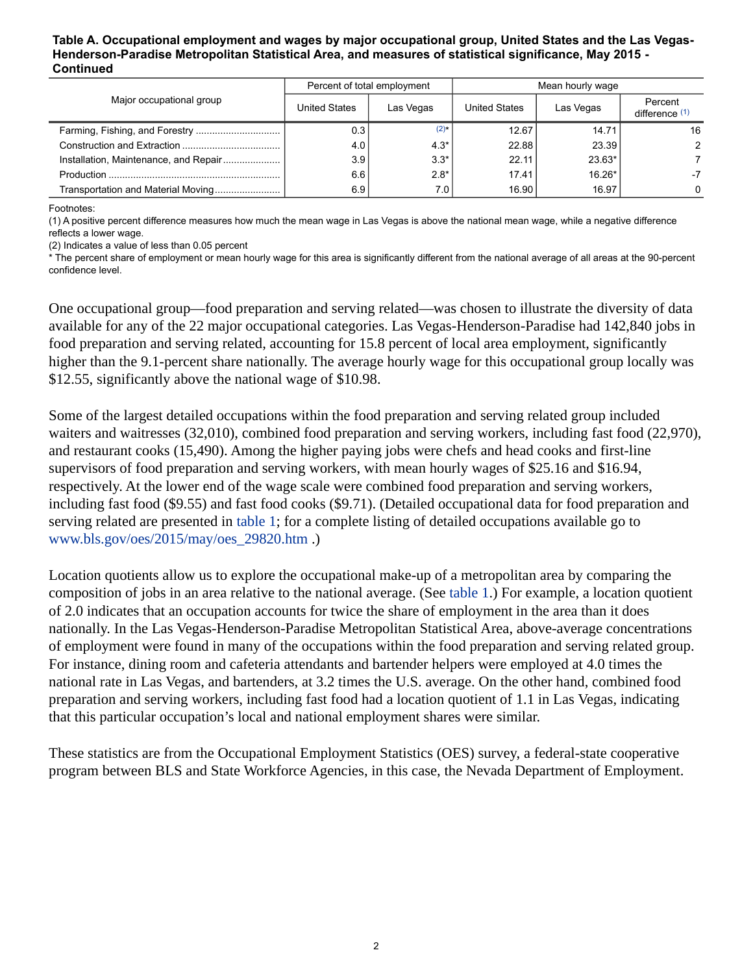#### **Table A. Occupational employment and wages by major occupational group, United States and the Las Vegas-Henderson-Paradise Metropolitan Statistical Area, and measures of statistical significance, May 2015 - Continued**

| Major occupational group              | Percent of total employment |           | Mean hourly wage |           |                           |
|---------------------------------------|-----------------------------|-----------|------------------|-----------|---------------------------|
|                                       | United States               | Las Vegas | United States    | Las Vegas | Percent<br>difference (1) |
|                                       | 0.3                         | $(2)$ *   | 12.67            | 14.71     | 16                        |
|                                       | 4.0                         | $4.3*$    | 22.88            | 23.39     | $\mathcal{P}$             |
| Installation, Maintenance, and Repair | 3.9                         | $3.3*$    | 22.11            | 23.63*    |                           |
|                                       | 6.6                         | $2.8*$    | 17.41            | $16.26*$  | $-7$                      |
| Transportation and Material Moving    | 6.9                         | 7.0       | 16.90            | 16.97     | $\mathbf{0}$              |

Footnotes:

<span id="page-1-0"></span>(1) A positive percent difference measures how much the mean wage in Las Vegas is above the national mean wage, while a negative difference reflects a lower wage.

<span id="page-1-1"></span>(2) Indicates a value of less than 0.05 percent

\* The percent share of employment or mean hourly wage for this area is significantly different from the national average of all areas at the 90-percent confidence level.

One occupational group—food preparation and serving related—was chosen to illustrate the diversity of data available for any of the 22 major occupational categories. Las Vegas-Henderson-Paradise had 142,840 jobs in food preparation and serving related, accounting for 15.8 percent of local area employment, significantly higher than the 9.1-percent share nationally. The average hourly wage for this occupational group locally was \$12.55, significantly above the national wage of \$10.98.

Some of the largest detailed occupations within the food preparation and serving related group included waiters and waitresses (32,010), combined food preparation and serving workers, including fast food (22,970), and restaurant cooks (15,490). Among the higher paying jobs were chefs and head cooks and first-line supervisors of food preparation and serving workers, with mean hourly wages of \$25.16 and \$16.94, respectively. At the lower end of the wage scale were combined food preparation and serving workers, including fast food (\$9.55) and fast food cooks (\$9.71). (Detailed occupational data for food preparation and serving related are presented in table 1; for a complete listing of detailed occupations available go to [www.bls.gov/oes/2015/may/oes\\_29820.htm](https://www.bls.gov/oes/2015/may/oes_29820.htm) .)

Location quotients allow us to explore the occupational make-up of a metropolitan area by comparing the composition of jobs in an area relative to the national average. (See table 1.) For example, a location quotient of 2.0 indicates that an occupation accounts for twice the share of employment in the area than it does nationally. In the Las Vegas-Henderson-Paradise Metropolitan Statistical Area, above-average concentrations of employment were found in many of the occupations within the food preparation and serving related group. For instance, dining room and cafeteria attendants and bartender helpers were employed at 4.0 times the national rate in Las Vegas, and bartenders, at 3.2 times the U.S. average. On the other hand, combined food preparation and serving workers, including fast food had a location quotient of 1.1 in Las Vegas, indicating that this particular occupation's local and national employment shares were similar.

These statistics are from the Occupational Employment Statistics (OES) survey, a federal-state cooperative program between BLS and State Workforce Agencies, in this case, the Nevada Department of Employment.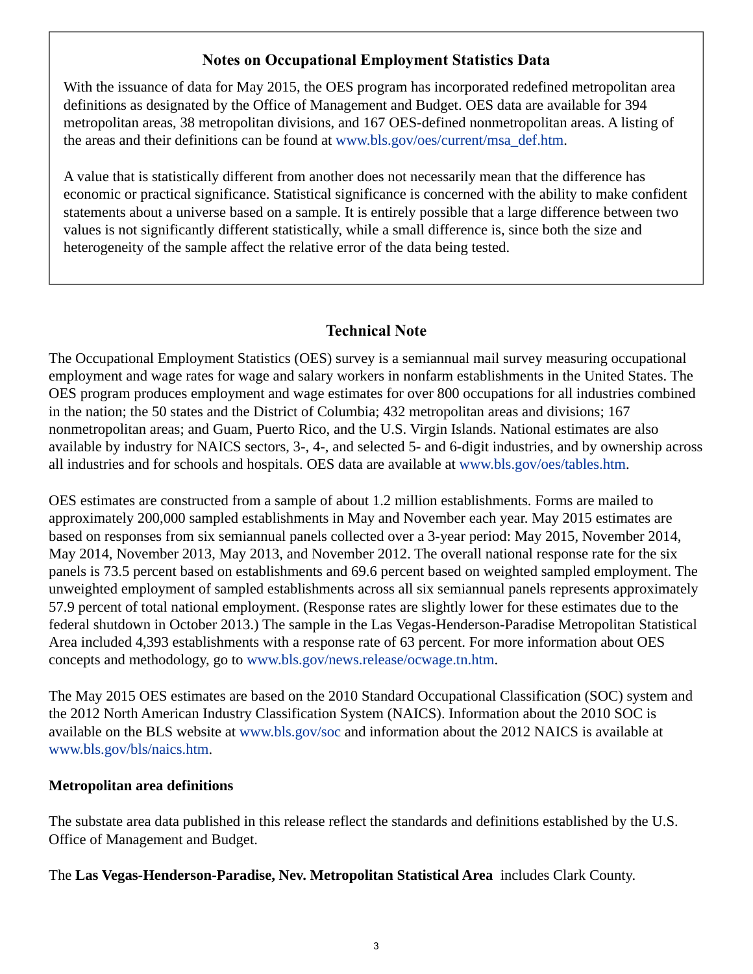# **Notes on Occupational Employment Statistics Data**

<span id="page-2-0"></span>With the issuance of data for May 2015, the OES program has incorporated redefined metropolitan area definitions as designated by the Office of Management and Budget. OES data are available for 394 metropolitan areas, 38 metropolitan divisions, and 167 OES-defined nonmetropolitan areas. A listing of the areas and their definitions can be found at [www.bls.gov/oes/current/msa\\_def.htm](https://www.bls.gov/oes/current/msa_def.htm).

A value that is statistically different from another does not necessarily mean that the difference has economic or practical significance. Statistical significance is concerned with the ability to make confident statements about a universe based on a sample. It is entirely possible that a large difference between two values is not significantly different statistically, while a small difference is, since both the size and heterogeneity of the sample affect the relative error of the data being tested.

## **Technical Note**

The Occupational Employment Statistics (OES) survey is a semiannual mail survey measuring occupational employment and wage rates for wage and salary workers in nonfarm establishments in the United States. The OES program produces employment and wage estimates for over 800 occupations for all industries combined in the nation; the 50 states and the District of Columbia; 432 metropolitan areas and divisions; 167 nonmetropolitan areas; and Guam, Puerto Rico, and the U.S. Virgin Islands. National estimates are also available by industry for NAICS sectors, 3-, 4-, and selected 5- and 6-digit industries, and by ownership across all industries and for schools and hospitals. OES data are available at [www.bls.gov/oes/tables.htm](https://www.bls.gov/oes/tables.htm).

OES estimates are constructed from a sample of about 1.2 million establishments. Forms are mailed to approximately 200,000 sampled establishments in May and November each year. May 2015 estimates are based on responses from six semiannual panels collected over a 3-year period: May 2015, November 2014, May 2014, November 2013, May 2013, and November 2012. The overall national response rate for the six panels is 73.5 percent based on establishments and 69.6 percent based on weighted sampled employment. The unweighted employment of sampled establishments across all six semiannual panels represents approximately 57.9 percent of total national employment. (Response rates are slightly lower for these estimates due to the federal shutdown in October 2013.) The sample in the Las Vegas-Henderson-Paradise Metropolitan Statistical Area included 4,393 establishments with a response rate of 63 percent. For more information about OES concepts and methodology, go to [www.bls.gov/news.release/ocwage.tn.htm](https://www.bls.gov/news.release/ocwage.tn.htm).

The May 2015 OES estimates are based on the 2010 Standard Occupational Classification (SOC) system and the 2012 North American Industry Classification System (NAICS). Information about the 2010 SOC is available on the BLS website at [www.bls.gov/soc](https://www.bls.gov/soc) and information about the 2012 NAICS is available at [www.bls.gov/bls/naics.htm.](https://www.bls.gov/bls/naics.htm)

## **Metropolitan area definitions**

The substate area data published in this release reflect the standards and definitions established by the U.S. Office of Management and Budget.

The **Las Vegas-Henderson-Paradise, Nev. Metropolitan Statistical Area** includes Clark County.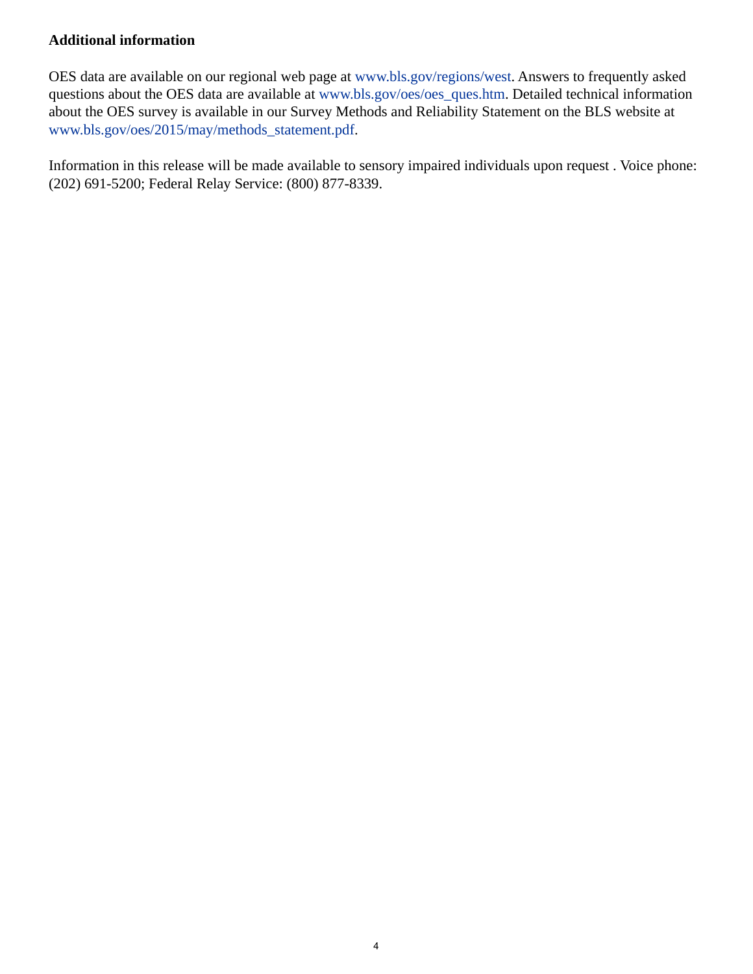## **Additional information**

OES data are available on our regional web page at [www.bls.gov/regions/west.](https://www.bls.gov/regions/west) Answers to frequently asked questions about the OES data are available at [www.bls.gov/oes/oes\\_ques.htm.](https://www.bls.gov/oes/oes_ques.htm) Detailed technical information about the OES survey is available in our Survey Methods and Reliability Statement on the BLS website at [www.bls.gov/oes/2015/may/methods\\_statement.pdf](https://www.bls.gov/oes/2015/may/methods_statement.pdf).

Information in this release will be made available to sensory impaired individuals upon request . Voice phone: (202) 691-5200; Federal Relay Service: (800) 877-8339.